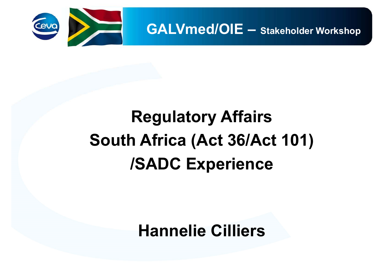

**GALVmed/OIE – Stakeholder Workshop**

## **Regulatory Affairs South Africa (Act 36/Act 101) /SADC Experience**

**Hannelie Cilliers**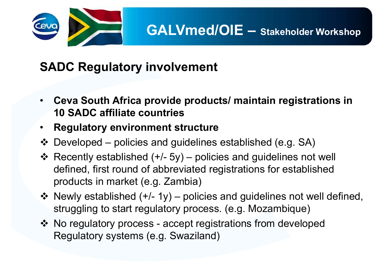

## **SADC Regulatory involvement**

- • **Ceva South Africa provide products/ maintain registrations in 10 SADC affiliate countries**
- •**Regulatory environment structure**
- Developed policies and guidelines established (e.g. SA)
- \* Recently established ( $+/-$  5y) policies and guidelines not well defined, first round of abbreviated registrations for established products in market (e.g. Zambia)
- Newly established  $(+/- 1y)$  policies and guidelines not well defined, struggling to start regulatory process. (e.g. Mozambique)
- No regulatory process accept registrations from developed Regulatory systems (e.g. Swaziland)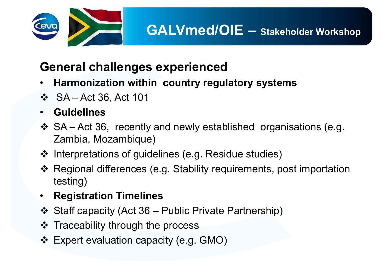

## **General challenges experienced**

- •**Harmonization within country regulatory systems**
- $\div$  SA Act 36, Act 101
- •**Guidelines**
- SA Act 36, recently and newly established organisations (e.g. Zambia, Mozambique)
- ❖ Interpretations of guidelines (e.g. Residue studies)
- Regional differences (e.g. Stability requirements, post importation testing)
- •**Registration Timelines**
- Staff capacity (Act 36 Public Private Partnership)
- ❖ Traceability through the process
- Expert evaluation capacity (e.g. GMO)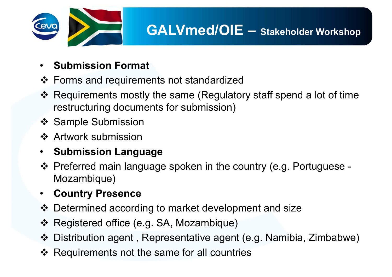

- •**Submission Format**
- ❖ Forms and requirements not standardized
- Requirements mostly the same (Regulatory staff spend a lot of time restructuring documents for submission)
- ❖ Sample Submission
- **❖ Artwork submission**
- •**Submission Language**
- Preferred main language spoken in the country (e.g. Portuguese Mozambique)
- $\bullet$ **Country Presence**
- Determined according to market development and size
- Registered office (e.g. SA, Mozambique)
- Distribution agent , Representative agent (e.g. Namibia, Zimbabwe)
- ❖ Requirements not the same for all countries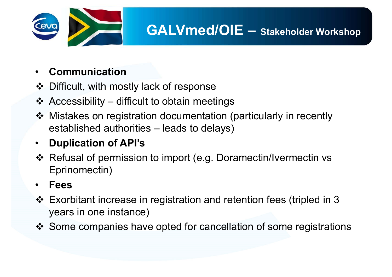

#### •**Communication**

- ❖ Difficult, with mostly lack of response
- Accessibility difficult to obtain meetings
- Mistakes on registration documentation (particularly in recently established authorities – leads to delays)

#### $\bullet$  . **Duplication of API's**

 Refusal of permission to import (e.g. Doramectin/Ivermectin vs Eprinomectin)

#### •**Fees**

- Exorbitant increase in registration and retention fees (tripled in 3 years in one instance)
- Some companies have opted for cancellation of some registrations